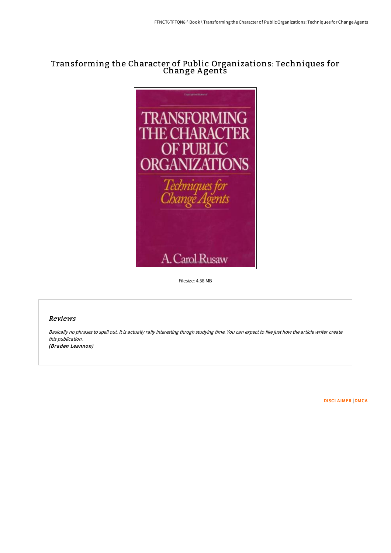# Transforming the Character of Public Organizations: Techniques for Change A gents



Filesize: 4.58 MB

# Reviews

Basically no phrases to spell out. It is actually rally interesting throgh studying time. You can expect to like just how the article writer create this publication. (Braden Leannon)

[DISCLAIMER](http://techno-pub.tech/disclaimer.html) | [DMCA](http://techno-pub.tech/dmca.html)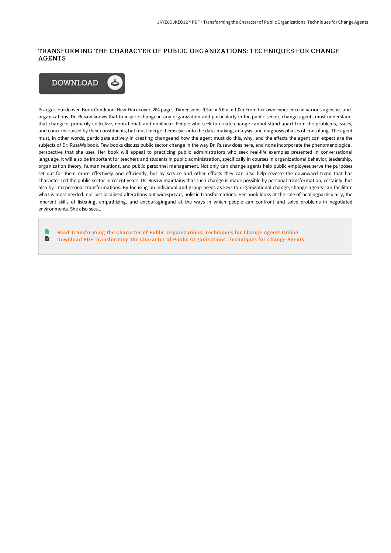# TRANSFORMING THE CHARACTER OF PUBLIC ORGANIZATIONS: TECHNIQUES FOR CHANGE AGENTS



Praeger. Hardcover. Book Condition: New. Hardcover. 264 pages. Dimensions: 9.5in. x 6.6in. x 1.0in.From her own experience in various agencies and organizations, Dr. Rusaw knows that to inspire change in any organization and particularly in the public sector, change agents must understand that change is primarily collective, nonrational, and nonlinear. People who seek to create change cannot stand apart from the problems, issues, and concerns raised by their constituents, but must merge themselves into the data-making, analysis, and diagnosis phases of consulting. The agent must, in other words, participate actively in creating changeand how the agent must do this, why, and the effects the agent can expect are the subjects of Dr. RusaWs book. Few books discuss public sector change in the way Dr. Rusaw does here, and none incorporate the phenomenological perspective that she uses. Her book will appeal to practicing public administrators who seek real-life examples presented in conversational language. It will also be important for teachers and students in public administration, specifically in courses in organizational behavior, leadership, organization theory, human relations, and public personnel management. Not only can change agents help public employees serve the purposes set out for them more effectively and efficiently, but by service and other efforts they can also help reverse the downward trend that has characterized the public sector in recent years. Dr. Rusaw maintains that such change is made possible by personal transformation, certainly, but also by interpersonal transformations. By focusing on individual and group needs as keys to organizational change, change agents can facilitate what is most needed: not just localized alterations but widespread, holistic transformations. Her book looks at the role of healingparticularly, the inherent skills of listening, empathizing, and encouragingand at the ways in which people can confront and solve problems in negotiated environments. She also sees...

Read Transforming the Character of Public [Organizations:](http://techno-pub.tech/transforming-the-character-of-public-organizatio.html) Techniques for Change Agents Online  $\mathbb{R}$ Download PDF Transforming the Character of Public [Organizations:](http://techno-pub.tech/transforming-the-character-of-public-organizatio.html) Techniques for Change Agents